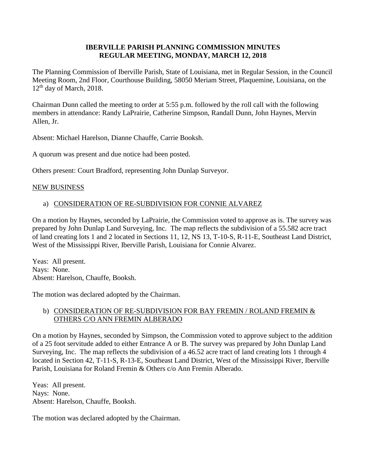# **IBERVILLE PARISH PLANNING COMMISSION MINUTES REGULAR MEETING, MONDAY, MARCH 12, 2018**

The Planning Commission of Iberville Parish, State of Louisiana, met in Regular Session, in the Council Meeting Room, 2nd Floor, Courthouse Building, 58050 Meriam Street, Plaquemine, Louisiana, on the  $12<sup>th</sup>$  day of March, 2018.

Chairman Dunn called the meeting to order at 5:55 p.m. followed by the roll call with the following members in attendance: Randy LaPrairie, Catherine Simpson, Randall Dunn, John Haynes, Mervin Allen, Jr.

Absent: Michael Harelson, Dianne Chauffe, Carrie Booksh.

A quorum was present and due notice had been posted.

Others present: Court Bradford, representing John Dunlap Surveyor.

#### NEW BUSINESS

# a) CONSIDERATION OF RE-SUBDIVISION FOR CONNIE ALVAREZ

On a motion by Haynes, seconded by LaPrairie, the Commission voted to approve as is. The survey was prepared by John Dunlap Land Surveying, Inc. The map reflects the subdivision of a 55.582 acre tract of land creating lots 1 and 2 located in Sections 11, 12, NS 13, T-10-S, R-11-E, Southeast Land District, West of the Mississippi River, Iberville Parish, Louisiana for Connie Alvarez.

Yeas: All present. Nays: None. Absent: Harelson, Chauffe, Booksh.

The motion was declared adopted by the Chairman.

# b) CONSIDERATION OF RE-SUBDIVISION FOR BAY FREMIN / ROLAND FREMIN & OTHERS C/O ANN FREMIN ALBERADO

On a motion by Haynes, seconded by Simpson, the Commission voted to approve subject to the addition of a 25 foot servitude added to either Entrance A or B. The survey was prepared by John Dunlap Land Surveying, Inc. The map reflects the subdivision of a 46.52 acre tract of land creating lots 1 through 4 located in Section 42, T-11-S, R-13-E, Southeast Land District, West of the Mississippi River, Iberville Parish, Louisiana for Roland Fremin & Others c/o Ann Fremin Alberado.

Yeas: All present. Nays: None. Absent: Harelson, Chauffe, Booksh.

The motion was declared adopted by the Chairman.